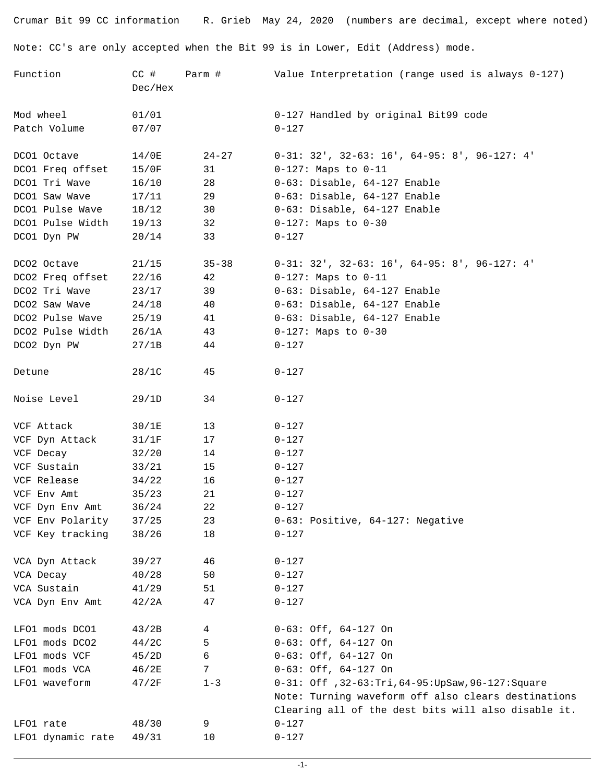Crumar Bit 99 CC information R. Grieb May 24, 2020 (numbers are decimal, except where noted) Note: CC's are only accepted when the Bit 99 is in Lower, Edit (Address) mode.

| Function          | $CC$ #<br>Dec/Hex | Parm #    | Value Interpretation (range used is always 0-127)                                                          |
|-------------------|-------------------|-----------|------------------------------------------------------------------------------------------------------------|
| Mod wheel         | 01/01             |           | 0-127 Handled by original Bit99 code                                                                       |
| Patch Volume      | 07/07             |           | $0 - 127$                                                                                                  |
| DCO1 Octave       | 14/0E             | $24 - 27$ | $0-31: 32'$ , $32-63: 16'$ , $64-95: 8'$ , $96-127: 4'$                                                    |
| DCO1 Freq offset  | 15/0F             | 31        | $0-127$ : Maps to $0-11$                                                                                   |
| DCO1 Tri Wave     | 16/10             | 28        | 0-63: Disable, 64-127 Enable                                                                               |
| DCO1 Saw Wave     | 17/11             | 29        | 0-63: Disable, 64-127 Enable                                                                               |
| DCO1 Pulse Wave   | 18/12             | 30        | 0-63: Disable, 64-127 Enable                                                                               |
| DCO1 Pulse Width  | 19/13             | 32        | $0-127$ : Maps to $0-30$                                                                                   |
| DCO1 Dyn PW       | 20/14             | 33        | $0 - 127$                                                                                                  |
| DCO2 Octave       | 21/15             | $35 - 38$ | $0-31: 32'$ , $32-63: 16'$ , $64-95: 8'$ , $96-127: 4'$                                                    |
| DCO2 Freq offset  | 22/16             | 42        | $0-127$ : Maps to $0-11$                                                                                   |
| DCO2 Tri Wave     | 23/17             | 39        | 0-63: Disable, 64-127 Enable                                                                               |
| DCO2 Saw Wave     | 24/18             | 40        | 0-63: Disable, 64-127 Enable                                                                               |
| DCO2 Pulse Wave   | 25/19             | 41        | 0-63: Disable, 64-127 Enable                                                                               |
| DCO2 Pulse Width  | 26/1A             | 43        | $0-127$ : Maps to $0-30$                                                                                   |
| DCO2 Dyn PW       | 27/1B             | 44        | $0 - 127$                                                                                                  |
| Detune            | 28/1C             | 45        | $0 - 127$                                                                                                  |
| Noise Level       | 29/1D             | 34        | $0 - 127$                                                                                                  |
| VCF Attack        | 30/1E             | 13        | $0 - 127$                                                                                                  |
| VCF Dyn Attack    | 31/1F             | 17        | $0 - 127$                                                                                                  |
| VCF Decay         | 32/20             | 14        | $0 - 127$                                                                                                  |
| VCF Sustain       | 33/21             | 15        | $0 - 127$                                                                                                  |
| VCF Release       | 34/22             | 16        | $0 - 127$                                                                                                  |
| VCF Env Amt       | 35/23             | 21        | $0 - 127$                                                                                                  |
| VCF Dyn Env Amt   | 36/24             | 22        | $0 - 127$                                                                                                  |
| VCF Env Polarity  | 37/25             | 23        | 0-63: Positive, 64-127: Negative                                                                           |
| VCF Key tracking  | 38/26             | 18        | $0 - 127$                                                                                                  |
| VCA Dyn Attack    | 39/27             | 46        | $0 - 127$                                                                                                  |
| VCA Decay         | 40/28             | 50        | $0 - 127$                                                                                                  |
| VCA Sustain       | 41/29             | 51        | $0 - 127$                                                                                                  |
| VCA Dyn Env Amt   | 42/2A             | 47        | $0 - 127$                                                                                                  |
| LFO1 mods DCO1    | 43/2B             | 4         | $0-63:$ Off, $64-127$ On                                                                                   |
| LFO1 mods DCO2    | 44/2C             | 5         | $0-63:$ Off, $64-127$ On                                                                                   |
| LFO1 mods VCF     | 45/2D             | 6         | $0-63:$ Off, $64-127$ On                                                                                   |
| LFO1 mods VCA     | 46/2E             | 7         | $0-63:$ Off, $64-127$ On                                                                                   |
| LFO1 waveform     | 47/2F             | $1 - 3$   | 0-31: Off , 32-63: Tri, 64-95: UpSaw, 96-127: Square                                                       |
|                   |                   |           | Note: Turning waveform off also clears destinations<br>Clearing all of the dest bits will also disable it. |
| LFO1 rate         | 48/30             | 9         | $0 - 127$                                                                                                  |
| LFO1 dynamic rate | 49/31             | 10        | $0 - 127$                                                                                                  |
|                   |                   |           |                                                                                                            |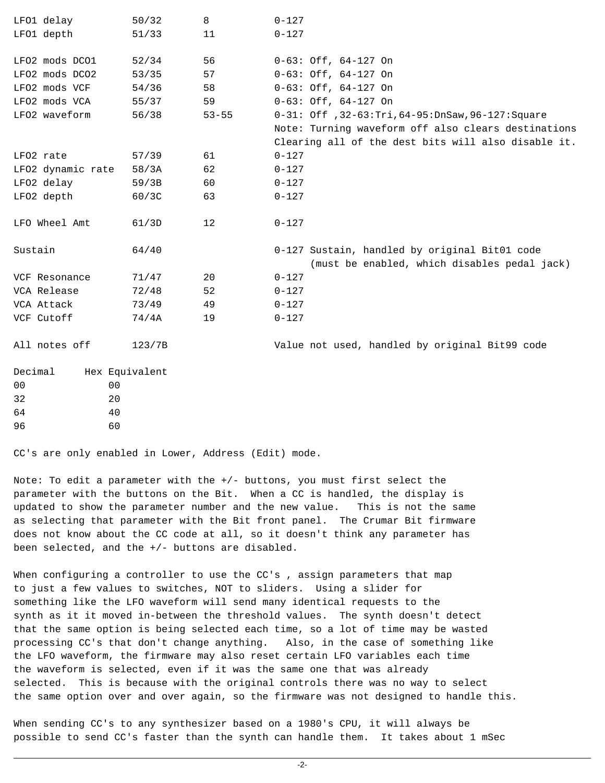| LFO1 delay                       | 50/32          | 8         | $0 - 127$                                                                                     |
|----------------------------------|----------------|-----------|-----------------------------------------------------------------------------------------------|
| LFO1 depth                       | 51/33          | 11        | $0 - 127$                                                                                     |
| LFO2 mods DCO1                   | 52/34          | 56        | $0-63:$ Off, $64-127$ On                                                                      |
| LFO2 mods DCO2                   | 53/35          | 57        | $0-63:$ Off, $64-127$ On                                                                      |
| LFO2 mods VCF                    | 54/36          | 58        | $0-63:$ Off, $64-127$ On                                                                      |
| LFO2 mods VCA                    | 55/37          | 59        | $0-63:$ Off, $64-127$ On                                                                      |
| LFO2 waveform                    | 56/38          | $53 - 55$ | 0-31: Off , 32-63: Tri, 64-95: DnSaw, 96-127: Square                                          |
|                                  |                |           | Note: Turning waveform off also clears destinations                                           |
|                                  |                |           | Clearing all of the dest bits will also disable it.                                           |
| LFO2 rate                        | 57/39          | 61        | $0 - 127$                                                                                     |
| LFO2 dynamic rate                | 58/3A          | 62        | $0 - 127$                                                                                     |
| LFO2 delay                       | 59/3B          | 60        | $0 - 127$                                                                                     |
| LFO2 depth                       | 60/3C          | 63        | $0 - 127$                                                                                     |
| LFO Wheel Amt                    | 61/3D          | 12        | $0 - 127$                                                                                     |
| Sustain                          | 64/40          |           | 0-127 Sustain, handled by original Bit01 code<br>(must be enabled, which disables pedal jack) |
| VCF Resonance                    | 71/47          | 20        | $0 - 127$                                                                                     |
| VCA Release                      | 72/48          | 52        | $0 - 127$                                                                                     |
| VCA Attack                       | 73/49          | 49        | $0 - 127$                                                                                     |
| VCF Cutoff                       | 74/4A          | 19        | $0 - 127$                                                                                     |
| All notes off                    | 123/7B         |           | Value not used, handled by original Bit99 code                                                |
| Decimal                          | Hex Equivalent |           |                                                                                               |
| 0 <sub>0</sub><br>0 <sub>0</sub> |                |           |                                                                                               |
| 32<br>20                         |                |           |                                                                                               |
| 64<br>40                         |                |           |                                                                                               |
| 96<br>60                         |                |           |                                                                                               |

CC's are only enabled in Lower, Address (Edit) mode.

Note: To edit a parameter with the +/- buttons, you must first select the parameter with the buttons on the Bit. When a CC is handled, the display is updated to show the parameter number and the new value. This is not the same as selecting that parameter with the Bit front panel. The Crumar Bit firmware does not know about the CC code at all, so it doesn't think any parameter has been selected, and the +/- buttons are disabled.

When configuring a controller to use the CC's, assign parameters that map to just a few values to switches, NOT to sliders. Using a slider for something like the LFO waveform will send many identical requests to the synth as it it moved in-between the threshold values. The synth doesn't detect that the same option is being selected each time, so a lot of time may be wasted processing CC's that don't change anything. Also, in the case of something like the LFO waveform, the firmware may also reset certain LFO variables each time the waveform is selected, even if it was the same one that was already selected. This is because with the original controls there was no way to select the same option over and over again, so the firmware was not designed to handle this.

When sending CC's to any synthesizer based on a 1980's CPU, it will always be possible to send CC's faster than the synth can handle them. It takes about 1 mSec